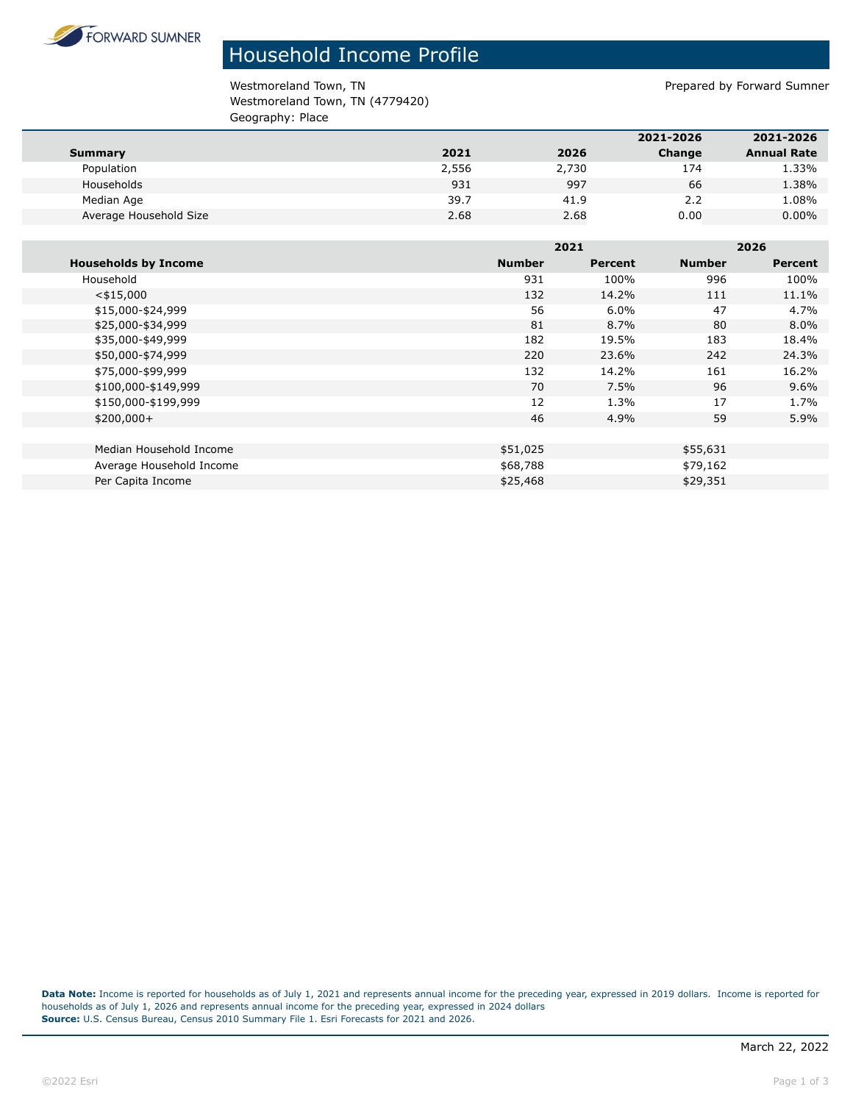

## Household Income Profile

Westmoreland Town, TN external of the Material Summer of Prepared by Forward Sumner Westmoreland Town, TN (4779420) Geography: Place

| _ _ _                  |       |       |           |                    |
|------------------------|-------|-------|-----------|--------------------|
|                        |       |       | 2021-2026 | 2021-2026          |
| <b>Summary</b>         | 2021  | 2026  | Change    | <b>Annual Rate</b> |
| Population             | 2,556 | 2,730 | 174       | 1.33%              |
| Households             | 931   | 997   | 66        | 1.38%              |
| Median Age             | 39.7  | 41.9  | 2.2       | 1.08%              |
| Average Household Size | 2.68  | 2.68  | 0.00      | $0.00\%$           |
|                        |       |       |           |                    |

|                             |               | 2021           |               | 2026           |  |
|-----------------------------|---------------|----------------|---------------|----------------|--|
| <b>Households by Income</b> | <b>Number</b> | <b>Percent</b> | <b>Number</b> | <b>Percent</b> |  |
| Household                   | 931           | 100%           | 996           | 100%           |  |
| $<$ \$15,000                | 132           | 14.2%          | 111           | 11.1%          |  |
| \$15,000-\$24,999           | 56            | 6.0%           | 47            | 4.7%           |  |
| \$25,000-\$34,999           | 81            | 8.7%           | 80            | 8.0%           |  |
| \$35,000-\$49,999           | 182           | 19.5%          | 183           | 18.4%          |  |
| \$50,000-\$74,999           | 220           | 23.6%          | 242           | 24.3%          |  |
| \$75,000-\$99,999           | 132           | 14.2%          | 161           | 16.2%          |  |
| \$100,000-\$149,999         | 70            | 7.5%           | 96            | 9.6%           |  |
| \$150,000-\$199,999         | 12            | 1.3%           | 17            | 1.7%           |  |
| $$200,000+$                 | 46            | 4.9%           | 59            | 5.9%           |  |
|                             |               |                |               |                |  |
| Median Household Income     | \$51,025      |                | \$55,631      |                |  |
| Average Household Income    | \$68,788      |                | \$79,162      |                |  |
| Per Capita Income           | \$25,468      |                | \$29,351      |                |  |

**Data Note:** Income is reported for households as of July 1, 2021 and represents annual income for the preceding year, expressed in 2019 dollars. Income is reported for households as of July 1, 2026 and represents annual income for the preceding year, expressed in 2024 dollars **Source:** U.S. Census Bureau, Census 2010 Summary File 1. Esri Forecasts for 2021 and 2026.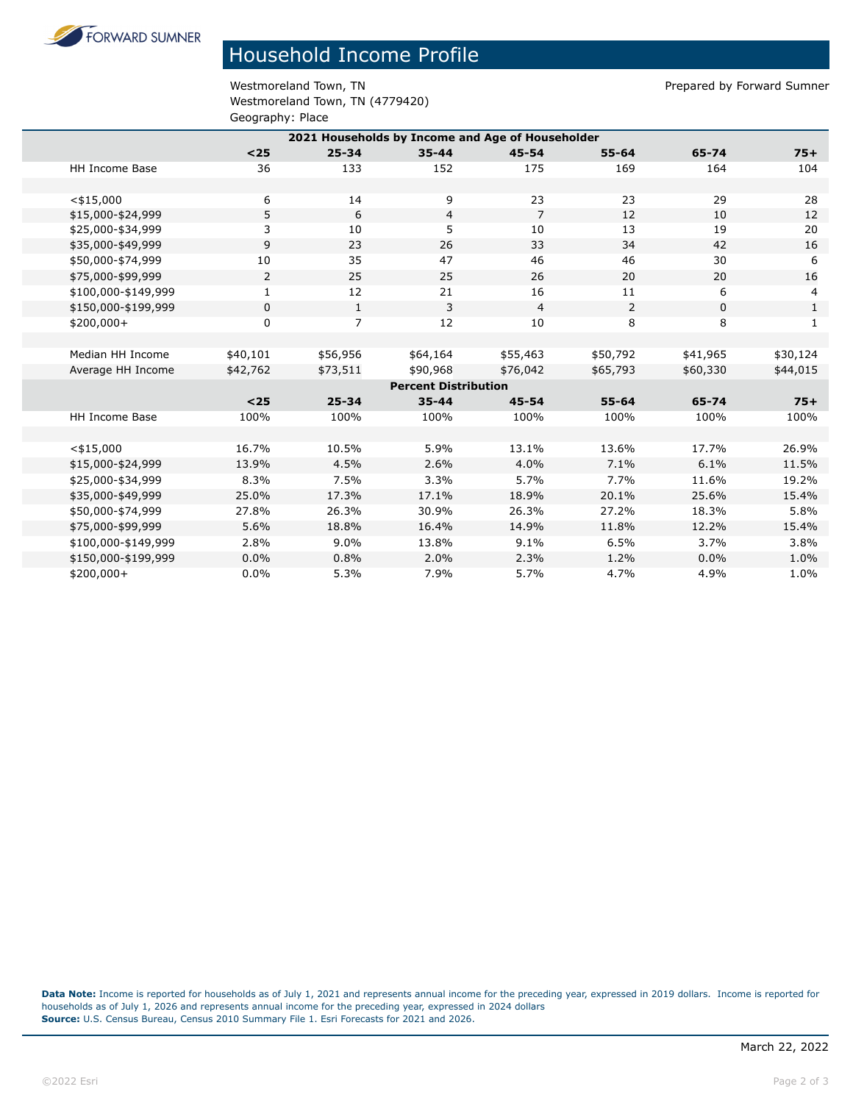**FORWARD SUMNER** 

## Household Income Profile

Westmoreland Town, TN **Prepared by Forward Sumner** Westmoreland Town, TN (4779420) Geography: Place

| 2021 Households by Income and Age of Householder |             |              |           |                |           |             |              |  |
|--------------------------------------------------|-------------|--------------|-----------|----------------|-----------|-------------|--------------|--|
|                                                  | $25$        | $25 - 34$    | $35 - 44$ | $45 - 54$      | $55 - 64$ | $65 - 74$   | $75+$        |  |
| <b>HH Income Base</b>                            | 36          | 133          | 152       | 175            | 169       | 164         | 104          |  |
|                                                  |             |              |           |                |           |             |              |  |
| $<$ \$15,000                                     | 6           | 14           | 9         | 23             | 23        | 29          | 28           |  |
| \$15,000-\$24,999                                | 5           | 6            | 4         | 7              | 12        | 10          | 12           |  |
| \$25,000-\$34,999                                | 3           | 10           | 5         | 10             | 13        | 19          | 20           |  |
| \$35,000-\$49,999                                | 9           | 23           | 26        | 33             | 34        | 42          | 16           |  |
| \$50,000-\$74,999                                | 10          | 35           | 47        | 46             | 46        | 30          | 6            |  |
| \$75,000-\$99,999                                | 2           | 25           | 25        | 26             | 20        | 20          | 16           |  |
| \$100,000-\$149,999                              | 1           | 12           | 21        | 16             | 11        | 6           | 4            |  |
| \$150,000-\$199,999                              | $\mathbf 0$ | $\mathbf{1}$ | 3         | $\overline{4}$ | 2         | $\mathbf 0$ | $\mathbf{1}$ |  |
| \$200,000+                                       | 0           | 7            | 12        | 10             | 8         | 8           | $\mathbf{1}$ |  |
|                                                  |             |              |           |                |           |             |              |  |
| Median HH Income                                 | \$40,101    | \$56,956     | \$64,164  | \$55,463       | \$50,792  | \$41,965    | \$30,124     |  |
| Average HH Income                                | \$42,762    | \$73,511     | \$90,968  | \$76,042       | \$65,793  | \$60,330    | \$44,015     |  |
| <b>Percent Distribution</b>                      |             |              |           |                |           |             |              |  |
|                                                  | $25$        | $25 - 34$    | $35 - 44$ | $45 - 54$      | $55 - 64$ | 65-74       | $75+$        |  |
| <b>HH Income Base</b>                            | 100%        | 100%         | 100%      | 100%           | 100%      | 100%        | 100%         |  |
|                                                  |             |              |           |                |           |             |              |  |
| $<$ \$15,000                                     | 16.7%       | 10.5%        | 5.9%      | 13.1%          | 13.6%     | 17.7%       | 26.9%        |  |
| \$15,000-\$24,999                                | 13.9%       | 4.5%         | 2.6%      | 4.0%           | 7.1%      | 6.1%        | 11.5%        |  |
| \$25,000-\$34,999                                | 8.3%        | 7.5%         | 3.3%      | 5.7%           | 7.7%      | 11.6%       | 19.2%        |  |
| \$35,000-\$49,999                                | 25.0%       | 17.3%        | 17.1%     | 18.9%          | 20.1%     | 25.6%       | 15.4%        |  |
| \$50,000-\$74,999                                | 27.8%       | 26.3%        | 30.9%     | 26.3%          | 27.2%     | 18.3%       | 5.8%         |  |
| \$75,000-\$99,999                                | 5.6%        | 18.8%        | 16.4%     | 14.9%          | 11.8%     | 12.2%       | 15.4%        |  |
| \$100,000-\$149,999                              | 2.8%        | $9.0\%$      | 13.8%     | 9.1%           | 6.5%      | 3.7%        | 3.8%         |  |
| \$150,000-\$199,999                              | 0.0%        | 0.8%         | 2.0%      | 2.3%           | 1.2%      | 0.0%        | 1.0%         |  |
| \$200,000+                                       | 0.0%        | 5.3%         | 7.9%      | 5.7%           | 4.7%      | 4.9%        | 1.0%         |  |

**Data Note:** Income is reported for households as of July 1, 2021 and represents annual income for the preceding year, expressed in 2019 dollars. Income is reported for households as of July 1, 2026 and represents annual income for the preceding year, expressed in 2024 dollars **Source:** U.S. Census Bureau, Census 2010 Summary File 1. Esri Forecasts for 2021 and 2026.